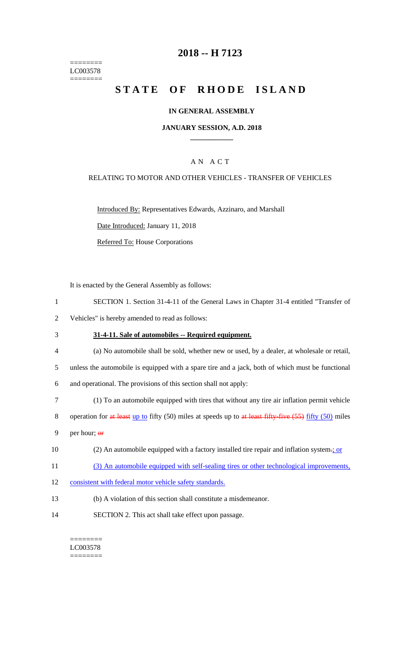======== LC003578 ========

### **2018 -- H 7123**

# **STATE OF RHODE ISLAND**

#### **IN GENERAL ASSEMBLY**

#### **JANUARY SESSION, A.D. 2018 \_\_\_\_\_\_\_\_\_\_\_\_**

#### A N A C T

#### RELATING TO MOTOR AND OTHER VEHICLES - TRANSFER OF VEHICLES

Introduced By: Representatives Edwards, Azzinaro, and Marshall

Date Introduced: January 11, 2018

Referred To: House Corporations

It is enacted by the General Assembly as follows:

- 1 SECTION 1. Section 31-4-11 of the General Laws in Chapter 31-4 entitled "Transfer of
- 2 Vehicles" is hereby amended to read as follows:
- 3 **31-4-11. Sale of automobiles -- Required equipment.**
- 4 (a) No automobile shall be sold, whether new or used, by a dealer, at wholesale or retail,

5 unless the automobile is equipped with a spare tire and a jack, both of which must be functional

- 6 and operational. The provisions of this section shall not apply:
- 7 (1) To an automobile equipped with tires that without any tire air inflation permit vehicle
- 8 operation for at least up to fifty (50) miles at speeds up to at least fifty-five (55) fifty (50) miles
- 9 per hour; or
- 10 (2) An automobile equipped with a factory installed tire repair and inflation system-; or
- 11 (3) An automobile equipped with self-sealing tires or other technological improvements,
- 12 consistent with federal motor vehicle safety standards.
- 13 (b) A violation of this section shall constitute a misdemeanor.
- 14 SECTION 2. This act shall take effect upon passage.

#### ======== LC003578 ========